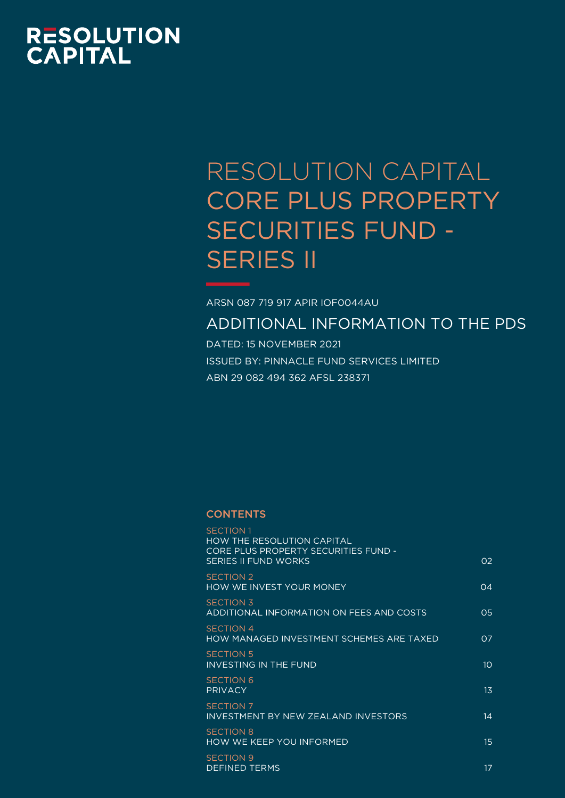# **RESOLUTION<br>CAPITAL**

## RESOLUTION CAPITAL CORE PLUS PROPERTY SECURITIES FUND - SERIES II

ARSN 087 719 917 APIR IOF0044AU

ADDITIONAL INFORMATION TO THE PDS

DATED: 15 NOVEMBER 2021 ISSUED BY: PINNACLE FUND SERVICES LIMITED ABN 29 082 494 362 AFSL 238371

## **CONTENTS**

| <b>SECTION 1</b><br><b>HOW THE RESOLUTION CAPITAL</b><br>CORE PLUS PROPERTY SECURITIES FUND - |                  |
|-----------------------------------------------------------------------------------------------|------------------|
| <b>SERIES II FUND WORKS</b>                                                                   | O <sub>2</sub>   |
| <b>SECTION 2</b><br>HOW WE INVEST YOUR MONEY                                                  | 04               |
| <b>SECTION 3</b><br>ADDITIONAL INFORMATION ON FEES AND COSTS                                  | O <sub>5</sub>   |
| <b>SECTION 4</b><br>HOW MANAGED INVESTMENT SCHEMES ARE TAXED                                  | 07               |
| <b>SECTION 5</b><br><b>INVESTING IN THE FUND</b>                                              | 10               |
| <b>SECTION 6</b><br><b>PRIVACY</b>                                                            | 1 <sub>3</sub>   |
| <b>SECTION 7</b><br><b>INVESTMENT BY NEW ZEALAND INVESTORS</b>                                | 14               |
| <b>SECTION 8</b><br><b>HOW WE KEEP YOU INFORMED</b>                                           | $15\overline{)}$ |
| <b>SECTION 9</b><br><b>DEFINED TERMS</b>                                                      | 17               |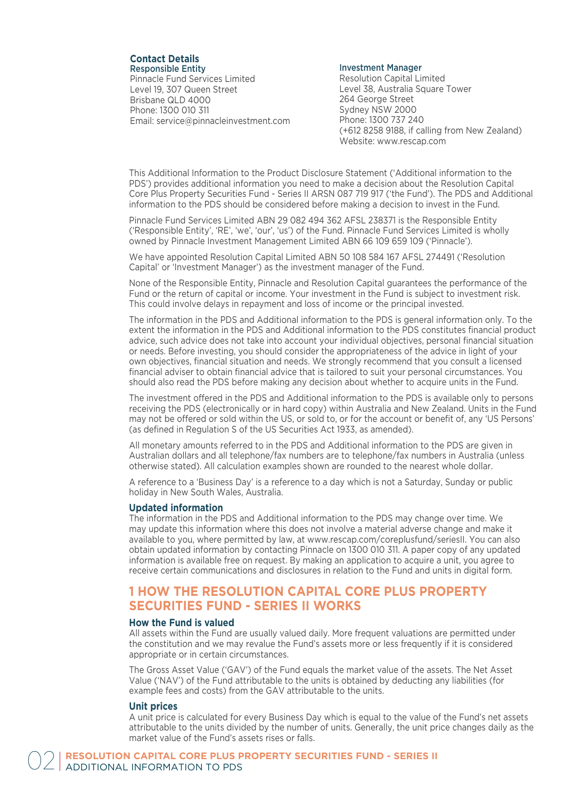#### **Contact Details** Responsible Entity

Pinnacle Fund Services Limited Level 19, 307 Queen Street Brisbane QLD 4000 Phone: 1300 010 311 Email: service@pinnacleinvestment.com

#### Investment Manager

Resolution Capital Limited Level 38, Australia Square Tower 264 George Street Sydney NSW 2000 Phone: 1300 737 240 (+612 8258 9188, if calling from New Zealand) Website: www.rescap.com

This Additional Information to the Product Disclosure Statement ('Additional information to the PDS') provides additional information you need to make a decision about the Resolution Capital Core Plus Property Securities Fund - Series II ARSN 087 719 917 ('the Fund'). The PDS and Additional information to the PDS should be considered before making a decision to invest in the Fund.

Pinnacle Fund Services Limited ABN 29 082 494 362 AFSL 238371 is the Responsible Entity ('Responsible Entity', 'RE', 'we', 'our', 'us') of the Fund. Pinnacle Fund Services Limited is wholly owned by Pinnacle Investment Management Limited ABN 66 109 659 109 ('Pinnacle').

We have appointed Resolution Capital Limited ABN 50 108 584 167 AFSL 274491 ('Resolution Capital' or 'Investment Manager') as the investment manager of the Fund.

None of the Responsible Entity, Pinnacle and Resolution Capital guarantees the performance of the Fund or the return of capital or income. Your investment in the Fund is subject to investment risk. This could involve delays in repayment and loss of income or the principal invested.

The information in the PDS and Additional information to the PDS is general information only. To the extent the information in the PDS and Additional information to the PDS constitutes financial product advice, such advice does not take into account your individual objectives, personal financial situation or needs. Before investing, you should consider the appropriateness of the advice in light of your own objectives, financial situation and needs. We strongly recommend that you consult a licensed financial adviser to obtain financial advice that is tailored to suit your personal circumstances. You should also read the PDS before making any decision about whether to acquire units in the Fund.

The investment offered in the PDS and Additional information to the PDS is available only to persons receiving the PDS (electronically or in hard copy) within Australia and New Zealand. Units in the Fund may not be offered or sold within the US, or sold to, or for the account or benefit of, any 'US Persons' (as defined in Regulation S of the US Securities Act 1933, as amended).

All monetary amounts referred to in the PDS and Additional information to the PDS are given in Australian dollars and all telephone/fax numbers are to telephone/fax numbers in Australia (unless otherwise stated). All calculation examples shown are rounded to the nearest whole dollar.

A reference to a 'Business Day' is a reference to a day which is not a Saturday, Sunday or public holiday in New South Wales, Australia.

#### **Updated information**

The information in the PDS and Additional information to the PDS may change over time. We may update this information where this does not involve a material adverse change and make it available to you, where permitted by law, at www.rescap.com/coreplusfund/seriesII. You can also obtain updated information by contacting Pinnacle on 1300 010 311. A paper copy of any updated information is available free on request. By making an application to acquire a unit, you agree to receive certain communications and disclosures in relation to the Fund and units in digital form.

## **1 HOW THE RESOLUTION CAPITAL CORE PLUS PROPERTY SECURITIES FUND - SERIES II WORKS**

#### **How the Fund is valued**

All assets within the Fund are usually valued daily. More frequent valuations are permitted under the constitution and we may revalue the Fund's assets more or less frequently if it is considered appropriate or in certain circumstances.

The Gross Asset Value ('GAV') of the Fund equals the market value of the assets. The Net Asset Value ('NAV') of the Fund attributable to the units is obtained by deducting any liabilities (for example fees and costs) from the GAV attributable to the units.

#### **Unit prices**

A unit price is calculated for every Business Day which is equal to the value of the Fund's net assets attributable to the units divided by the number of units. Generally, the unit price changes daily as the market value of the Fund's assets rises or falls.

**RESOLUTION CAPITAL CORE PLUS PROPERTY SECURITIES FUND - SERIES II**<br>ADDITIONAL INFORMATION TO PDS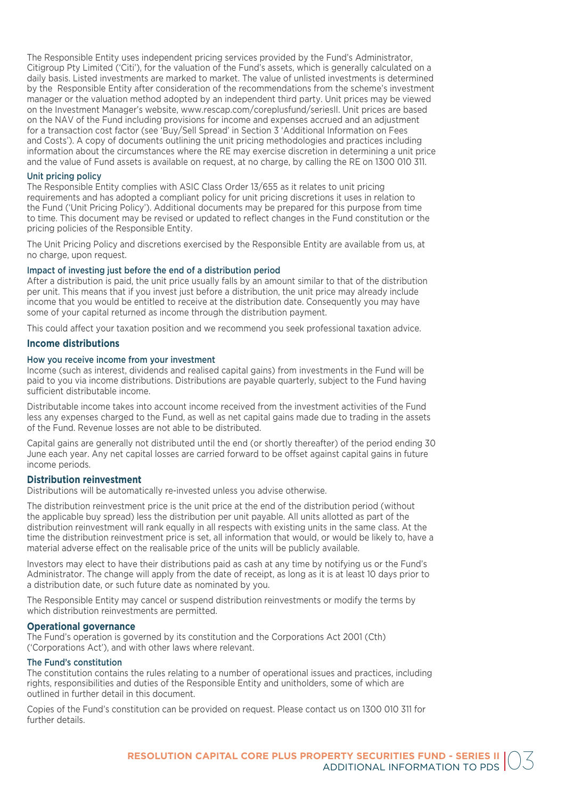The Responsible Entity uses independent pricing services provided by the Fund's Administrator, Citigroup Pty Limited ('Citi'), for the valuation of the Fund's assets, which is generally calculated on a daily basis. Listed investments are marked to market. The value of unlisted investments is determined by the Responsible Entity after consideration of the recommendations from the scheme's investment manager or the valuation method adopted by an independent third party. Unit prices may be viewed on the Investment Manager's website, www.rescap.com/coreplusfund/seriesII. Unit prices are based on the NAV of the Fund including provisions for income and expenses accrued and an adjustment for a transaction cost factor (see 'Buy/Sell Spread' in Section 3 'Additional Information on Fees and Costs'). A copy of documents outlining the unit pricing methodologies and practices including information about the circumstances where the RE may exercise discretion in determining a unit price and the value of Fund assets is available on request, at no charge, by calling the RE on 1300 010 311.

#### Unit pricing policy

The Responsible Entity complies with ASIC Class Order 13/655 as it relates to unit pricing requirements and has adopted a compliant policy for unit pricing discretions it uses in relation to the Fund ('Unit Pricing Policy'). Additional documents may be prepared for this purpose from time to time. This document may be revised or updated to reflect changes in the Fund constitution or the pricing policies of the Responsible Entity.

The Unit Pricing Policy and discretions exercised by the Responsible Entity are available from us, at no charge, upon request.

#### Impact of investing just before the end of a distribution period

After a distribution is paid, the unit price usually falls by an amount similar to that of the distribution per unit. This means that if you invest just before a distribution, the unit price may already include income that you would be entitled to receive at the distribution date. Consequently you may have some of your capital returned as income through the distribution payment.

This could affect your taxation position and we recommend you seek professional taxation advice.

#### **Income distributions**

#### How you receive income from your investment

Income (such as interest, dividends and realised capital gains) from investments in the Fund will be paid to you via income distributions. Distributions are payable quarterly, subject to the Fund having sufficient distributable income.

Distributable income takes into account income received from the investment activities of the Fund less any expenses charged to the Fund, as well as net capital gains made due to trading in the assets of the Fund. Revenue losses are not able to be distributed.

Capital gains are generally not distributed until the end (or shortly thereafter) of the period ending 30 June each year. Any net capital losses are carried forward to be offset against capital gains in future income periods.

#### **Distribution reinvestment**

Distributions will be automatically re-invested unless you advise otherwise.

The distribution reinvestment price is the unit price at the end of the distribution period (without the applicable buy spread) less the distribution per unit payable. All units allotted as part of the distribution reinvestment will rank equally in all respects with existing units in the same class. At the time the distribution reinvestment price is set, all information that would, or would be likely to, have a material adverse effect on the realisable price of the units will be publicly available.

Investors may elect to have their distributions paid as cash at any time by notifying us or the Fund's Administrator. The change will apply from the date of receipt, as long as it is at least 10 days prior to a distribution date, or such future date as nominated by you.

The Responsible Entity may cancel or suspend distribution reinvestments or modify the terms by which distribution reinvestments are permitted.

#### **Operational governance**

The Fund's operation is governed by its constitution and the Corporations Act 2001 (Cth) ('Corporations Act'), and with other laws where relevant.

#### The Fund's constitution

The constitution contains the rules relating to a number of operational issues and practices, including rights, responsibilities and duties of the Responsible Entity and unitholders, some of which are outlined in further detail in this document.

Copies of the Fund's constitution can be provided on request. Please contact us on 1300 010 311 for further details.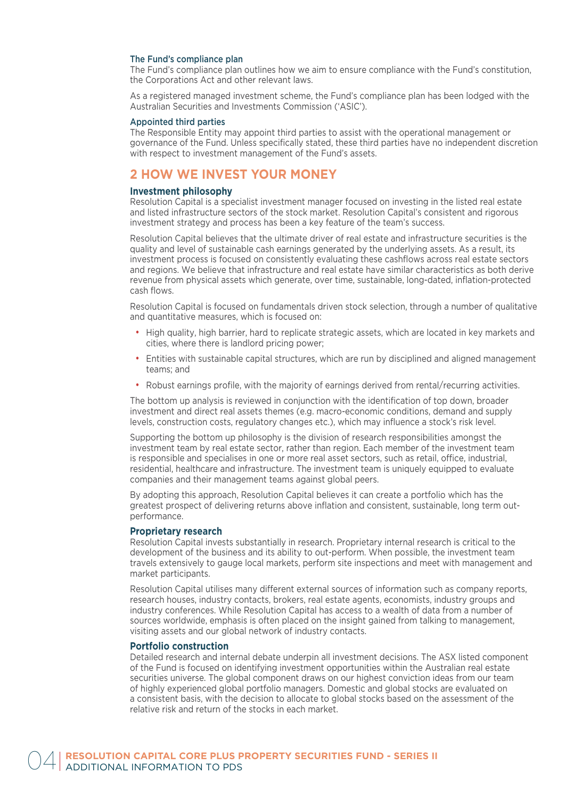#### The Fund's compliance plan

The Fund's compliance plan outlines how we aim to ensure compliance with the Fund's constitution, the Corporations Act and other relevant laws.

As a registered managed investment scheme, the Fund's compliance plan has been lodged with the Australian Securities and Investments Commission ('ASIC').

#### Appointed third parties

The Responsible Entity may appoint third parties to assist with the operational management or governance of the Fund. Unless specifically stated, these third parties have no independent discretion with respect to investment management of the Fund's assets.

## **2 HOW WE INVEST YOUR MONEY**

#### **Investment philosophy**

Resolution Capital is a specialist investment manager focused on investing in the listed real estate and listed infrastructure sectors of the stock market. Resolution Capital's consistent and rigorous investment strategy and process has been a key feature of the team's success.

Resolution Capital believes that the ultimate driver of real estate and infrastructure securities is the quality and level of sustainable cash earnings generated by the underlying assets. As a result, its investment process is focused on consistently evaluating these cashflows across real estate sectors and regions. We believe that infrastructure and real estate have similar characteristics as both derive revenue from physical assets which generate, over time, sustainable, long-dated, inflation-protected cash flows.

Resolution Capital is focused on fundamentals driven stock selection, through a number of qualitative and quantitative measures, which is focused on:

- High quality, high barrier, hard to replicate strategic assets, which are located in key markets and cities, where there is landlord pricing power;
- Entities with sustainable capital structures, which are run by disciplined and aligned management teams; and
- Robust earnings profile, with the majority of earnings derived from rental/recurring activities.

The bottom up analysis is reviewed in conjunction with the identification of top down, broader investment and direct real assets themes (e.g. macro-economic conditions, demand and supply levels, construction costs, regulatory changes etc.), which may influence a stock's risk level.

Supporting the bottom up philosophy is the division of research responsibilities amongst the investment team by real estate sector, rather than region. Each member of the investment team is responsible and specialises in one or more real asset sectors, such as retail, office, industrial, residential, healthcare and infrastructure. The investment team is uniquely equipped to evaluate companies and their management teams against global peers.

By adopting this approach, Resolution Capital believes it can create a portfolio which has the greatest prospect of delivering returns above inflation and consistent, sustainable, long term outperformance.

#### **Proprietary research**

Resolution Capital invests substantially in research. Proprietary internal research is critical to the development of the business and its ability to out-perform. When possible, the investment team travels extensively to gauge local markets, perform site inspections and meet with management and market participants.

Resolution Capital utilises many different external sources of information such as company reports, research houses, industry contacts, brokers, real estate agents, economists, industry groups and industry conferences. While Resolution Capital has access to a wealth of data from a number of sources worldwide, emphasis is often placed on the insight gained from talking to management, visiting assets and our global network of industry contacts.

#### **Portfolio construction**

Detailed research and internal debate underpin all investment decisions. The ASX listed component of the Fund is focused on identifying investment opportunities within the Australian real estate securities universe. The global component draws on our highest conviction ideas from our team of highly experienced global portfolio managers. Domestic and global stocks are evaluated on a consistent basis, with the decision to allocate to global stocks based on the assessment of the relative risk and return of the stocks in each market.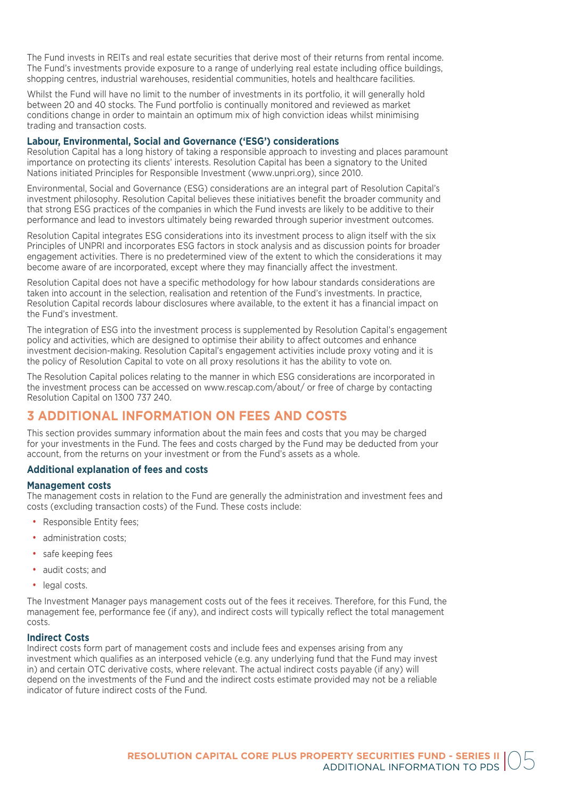The Fund invests in REITs and real estate securities that derive most of their returns from rental income. The Fund's investments provide exposure to a range of underlying real estate including office buildings, shopping centres, industrial warehouses, residential communities, hotels and healthcare facilities.

Whilst the Fund will have no limit to the number of investments in its portfolio, it will generally hold between 20 and 40 stocks. The Fund portfolio is continually monitored and reviewed as market conditions change in order to maintain an optimum mix of high conviction ideas whilst minimising trading and transaction costs.

#### **Labour, Environmental, Social and Governance ('ESG') considerations**

Resolution Capital has a long history of taking a responsible approach to investing and places paramount importance on protecting its clients' interests. Resolution Capital has been a signatory to the United Nations initiated Principles for Responsible Investment (www.unpri.org), since 2010.

Environmental, Social and Governance (ESG) considerations are an integral part of Resolution Capital's investment philosophy. Resolution Capital believes these initiatives benefit the broader community and that strong ESG practices of the companies in which the Fund invests are likely to be additive to their performance and lead to investors ultimately being rewarded through superior investment outcomes.

Resolution Capital integrates ESG considerations into its investment process to align itself with the six Principles of UNPRI and incorporates ESG factors in stock analysis and as discussion points for broader engagement activities. There is no predetermined view of the extent to which the considerations it may become aware of are incorporated, except where they may financially affect the investment.

Resolution Capital does not have a specific methodology for how labour standards considerations are taken into account in the selection, realisation and retention of the Fund's investments. In practice, Resolution Capital records labour disclosures where available, to the extent it has a financial impact on the Fund's investment.

The integration of ESG into the investment process is supplemented by Resolution Capital's engagement policy and activities, which are designed to optimise their ability to affect outcomes and enhance investment decision-making. Resolution Capital's engagement activities include proxy voting and it is the policy of Resolution Capital to vote on all proxy resolutions it has the ability to vote on.

The Resolution Capital polices relating to the manner in which ESG considerations are incorporated in the investment process can be accessed on www.rescap.com/about/ or free of charge by contacting Resolution Capital on 1300 737 240.

## **3 ADDITIONAL INFORMATION ON FEES AND COSTS**

This section provides summary information about the main fees and costs that you may be charged for your investments in the Fund. The fees and costs charged by the Fund may be deducted from your account, from the returns on your investment or from the Fund's assets as a whole.

#### **Additional explanation of fees and costs**

#### **Management costs**

The management costs in relation to the Fund are generally the administration and investment fees and costs (excluding transaction costs) of the Fund. These costs include:

- Responsible Entity fees;
- administration costs:
- safe keeping fees
- audit costs; and
- legal costs.

The Investment Manager pays management costs out of the fees it receives. Therefore, for this Fund, the management fee, performance fee (if any), and indirect costs will typically reflect the total management costs.

#### **Indirect Costs**

Indirect costs form part of management costs and include fees and expenses arising from any investment which qualifies as an interposed vehicle (e.g. any underlying fund that the Fund may invest in) and certain OTC derivative costs, where relevant. The actual indirect costs payable (if any) will depend on the investments of the Fund and the indirect costs estimate provided may not be a reliable indicator of future indirect costs of the Fund.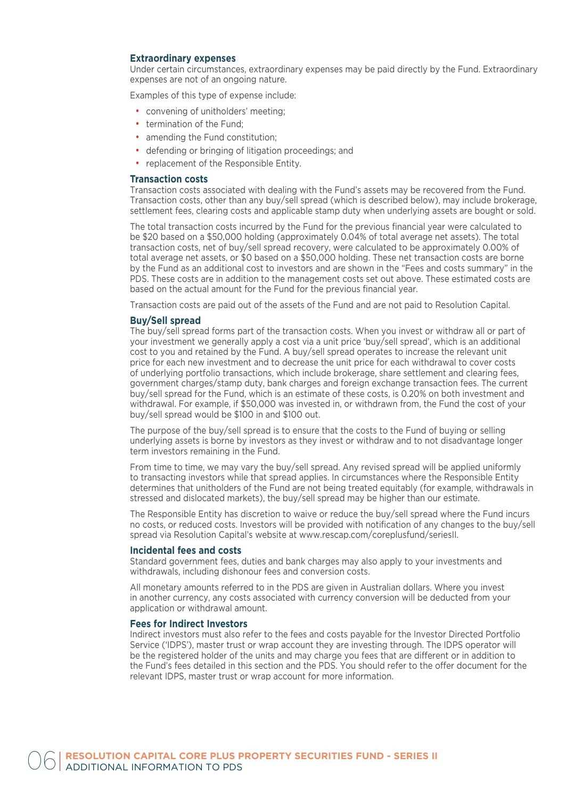#### **Extraordinary expenses**

Under certain circumstances, extraordinary expenses may be paid directly by the Fund. Extraordinary expenses are not of an ongoing nature.

Examples of this type of expense include:

- convening of unitholders' meeting;
- termination of the Fund:
- amending the Fund constitution;
- defending or bringing of litigation proceedings; and
- replacement of the Responsible Entity.

#### **Transaction costs**

Transaction costs associated with dealing with the Fund's assets may be recovered from the Fund. Transaction costs, other than any buy/sell spread (which is described below), may include brokerage, settlement fees, clearing costs and applicable stamp duty when underlying assets are bought or sold.

The total transaction costs incurred by the Fund for the previous financial year were calculated to be \$20 based on a \$50,000 holding (approximately 0.04% of total average net assets). The total transaction costs, net of buy/sell spread recovery, were calculated to be approximately 0.00% of total average net assets, or \$0 based on a \$50,000 holding. These net transaction costs are borne by the Fund as an additional cost to investors and are shown in the "Fees and costs summary" in the PDS. These costs are in addition to the management costs set out above. These estimated costs are based on the actual amount for the Fund for the previous financial year.

Transaction costs are paid out of the assets of the Fund and are not paid to Resolution Capital.

#### **Buy/Sell spread**

The buy/sell spread forms part of the transaction costs. When you invest or withdraw all or part of your investment we generally apply a cost via a unit price 'buy/sell spread', which is an additional cost to you and retained by the Fund. A buy/sell spread operates to increase the relevant unit price for each new investment and to decrease the unit price for each withdrawal to cover costs of underlying portfolio transactions, which include brokerage, share settlement and clearing fees, government charges/stamp duty, bank charges and foreign exchange transaction fees. The current buy/sell spread for the Fund, which is an estimate of these costs, is 0.20% on both investment and withdrawal. For example, if \$50,000 was invested in, or withdrawn from, the Fund the cost of your buy/sell spread would be \$100 in and \$100 out.

The purpose of the buy/sell spread is to ensure that the costs to the Fund of buying or selling underlying assets is borne by investors as they invest or withdraw and to not disadvantage longer term investors remaining in the Fund.

From time to time, we may vary the buy/sell spread. Any revised spread will be applied uniformly to transacting investors while that spread applies. In circumstances where the Responsible Entity determines that unitholders of the Fund are not being treated equitably (for example, withdrawals in stressed and dislocated markets), the buy/sell spread may be higher than our estimate.

The Responsible Entity has discretion to waive or reduce the buy/sell spread where the Fund incurs no costs, or reduced costs. Investors will be provided with notification of any changes to the buy/sell spread via Resolution Capital's website at www.rescap.com/coreplusfund/seriesII.

#### **Incidental fees and costs**

Standard government fees, duties and bank charges may also apply to your investments and withdrawals, including dishonour fees and conversion costs.

All monetary amounts referred to in the PDS are given in Australian dollars. Where you invest in another currency, any costs associated with currency conversion will be deducted from your application or withdrawal amount.

#### **Fees for Indirect Investors**

Indirect investors must also refer to the fees and costs payable for the Investor Directed Portfolio Service ('IDPS'), master trust or wrap account they are investing through. The IDPS operator will be the registered holder of the units and may charge you fees that are different or in addition to the Fund's fees detailed in this section and the PDS. You should refer to the offer document for the relevant IDPS, master trust or wrap account for more information.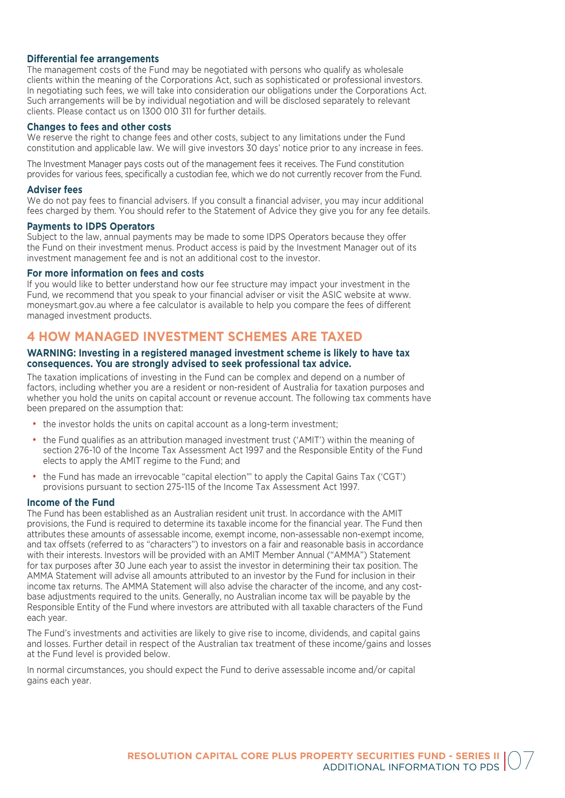#### **Differential fee arrangements**

The management costs of the Fund may be negotiated with persons who qualify as wholesale clients within the meaning of the Corporations Act, such as sophisticated or professional investors. In negotiating such fees, we will take into consideration our obligations under the Corporations Act. Such arrangements will be by individual negotiation and will be disclosed separately to relevant clients. Please contact us on 1300 010 311 for further details.

#### **Changes to fees and other costs**

We reserve the right to change fees and other costs, subject to any limitations under the Fund constitution and applicable law. We will give investors 30 days' notice prior to any increase in fees.

The Investment Manager pays costs out of the management fees it receives. The Fund constitution provides for various fees, specifically a custodian fee, which we do not currently recover from the Fund.

#### **Adviser fees**

We do not pay fees to financial advisers. If you consult a financial adviser, you may incur additional fees charged by them. You should refer to the Statement of Advice they give you for any fee details.

#### **Payments to IDPS Operators**

Subject to the law, annual payments may be made to some IDPS Operators because they offer the Fund on their investment menus. Product access is paid by the Investment Manager out of its investment management fee and is not an additional cost to the investor.

#### **For more information on fees and costs**

If you would like to better understand how our fee structure may impact your investment in the Fund, we recommend that you speak to your financial adviser or visit the ASIC website at www. moneysmart.gov.au where a fee calculator is available to help you compare the fees of different managed investment products.

## **4 HOW MANAGED INVESTMENT SCHEMES ARE TAXED**

#### **WARNING: Investing in a registered managed investment scheme is likely to have tax consequences. You are strongly advised to seek professional tax advice.**

The taxation implications of investing in the Fund can be complex and depend on a number of factors, including whether you are a resident or non-resident of Australia for taxation purposes and whether you hold the units on capital account or revenue account. The following tax comments have been prepared on the assumption that:

- the investor holds the units on capital account as a long-term investment;
- the Fund qualifies as an attribution managed investment trust ('AMIT') within the meaning of section 276-10 of the Income Tax Assessment Act 1997 and the Responsible Entity of the Fund elects to apply the AMIT regime to the Fund; and
- the Fund has made an irrevocable "capital election"' to apply the Capital Gains Tax ('CGT') provisions pursuant to section 275-115 of the Income Tax Assessment Act 1997.

#### **Income of the Fund**

The Fund has been established as an Australian resident unit trust. In accordance with the AMIT provisions, the Fund is required to determine its taxable income for the financial year. The Fund then attributes these amounts of assessable income, exempt income, non-assessable non-exempt income, and tax offsets (referred to as "characters") to investors on a fair and reasonable basis in accordance with their interests. Investors will be provided with an AMIT Member Annual ("AMMA") Statement for tax purposes after 30 June each year to assist the investor in determining their tax position. The AMMA Statement will advise all amounts attributed to an investor by the Fund for inclusion in their income tax returns. The AMMA Statement will also advise the character of the income, and any costbase adjustments required to the units. Generally, no Australian income tax will be payable by the Responsible Entity of the Fund where investors are attributed with all taxable characters of the Fund each year.

The Fund's investments and activities are likely to give rise to income, dividends, and capital gains and losses. Further detail in respect of the Australian tax treatment of these income/gains and losses at the Fund level is provided below.

In normal circumstances, you should expect the Fund to derive assessable income and/or capital gains each year.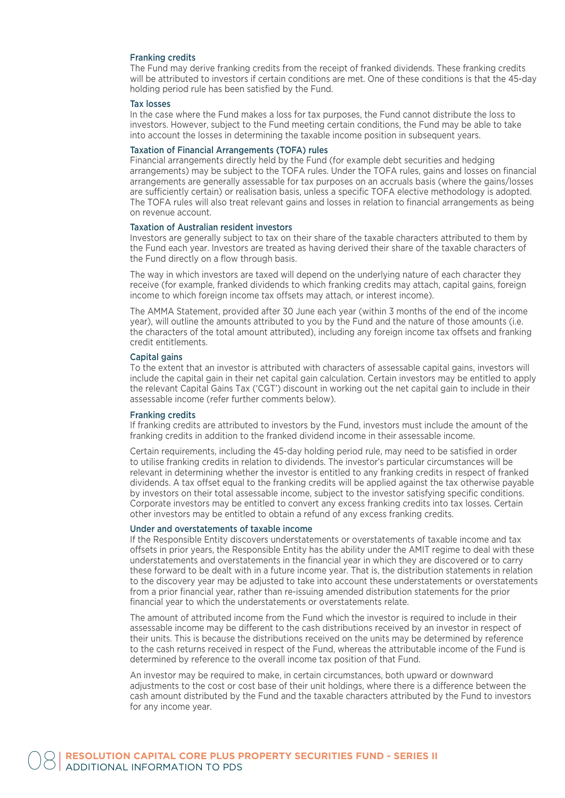#### Franking credits

The Fund may derive franking credits from the receipt of franked dividends. These franking credits will be attributed to investors if certain conditions are met. One of these conditions is that the 45-day holding period rule has been satisfied by the Fund.

#### Tax losses

In the case where the Fund makes a loss for tax purposes, the Fund cannot distribute the loss to investors. However, subject to the Fund meeting certain conditions, the Fund may be able to take into account the losses in determining the taxable income position in subsequent years.

#### Taxation of Financial Arrangements (TOFA) rules

Financial arrangements directly held by the Fund (for example debt securities and hedging arrangements) may be subject to the TOFA rules. Under the TOFA rules, gains and losses on financial arrangements are generally assessable for tax purposes on an accruals basis (where the gains/losses are sufficiently certain) or realisation basis, unless a specific TOFA elective methodology is adopted. The TOFA rules will also treat relevant gains and losses in relation to financial arrangements as being on revenue account.

#### Taxation of Australian resident investors

Investors are generally subject to tax on their share of the taxable characters attributed to them by the Fund each year. Investors are treated as having derived their share of the taxable characters of the Fund directly on a flow through basis.

The way in which investors are taxed will depend on the underlying nature of each character they receive (for example, franked dividends to which franking credits may attach, capital gains, foreign income to which foreign income tax offsets may attach, or interest income).

The AMMA Statement, provided after 30 June each year (within 3 months of the end of the income year), will outline the amounts attributed to you by the Fund and the nature of those amounts (i.e. the characters of the total amount attributed), including any foreign income tax offsets and franking credit entitlements.

#### Capital gains

To the extent that an investor is attributed with characters of assessable capital gains, investors will include the capital gain in their net capital gain calculation. Certain investors may be entitled to apply the relevant Capital Gains Tax ('CGT') discount in working out the net capital gain to include in their assessable income (refer further comments below).

#### Franking credits

If franking credits are attributed to investors by the Fund, investors must include the amount of the franking credits in addition to the franked dividend income in their assessable income.

Certain requirements, including the 45-day holding period rule, may need to be satisfied in order to utilise franking credits in relation to dividends. The investor's particular circumstances will be relevant in determining whether the investor is entitled to any franking credits in respect of franked dividends. A tax offset equal to the franking credits will be applied against the tax otherwise payable by investors on their total assessable income, subject to the investor satisfying specific conditions. Corporate investors may be entitled to convert any excess franking credits into tax losses. Certain other investors may be entitled to obtain a refund of any excess franking credits.

#### Under and overstatements of taxable income

If the Responsible Entity discovers understatements or overstatements of taxable income and tax offsets in prior years, the Responsible Entity has the ability under the AMIT regime to deal with these understatements and overstatements in the financial year in which they are discovered or to carry these forward to be dealt with in a future income year. That is, the distribution statements in relation to the discovery year may be adjusted to take into account these understatements or overstatements from a prior financial year, rather than re-issuing amended distribution statements for the prior financial year to which the understatements or overstatements relate.

The amount of attributed income from the Fund which the investor is required to include in their assessable income may be different to the cash distributions received by an investor in respect of their units. This is because the distributions received on the units may be determined by reference to the cash returns received in respect of the Fund, whereas the attributable income of the Fund is determined by reference to the overall income tax position of that Fund.

An investor may be required to make, in certain circumstances, both upward or downward adjustments to the cost or cost base of their unit holdings, where there is a difference between the cash amount distributed by the Fund and the taxable characters attributed by the Fund to investors for any income year.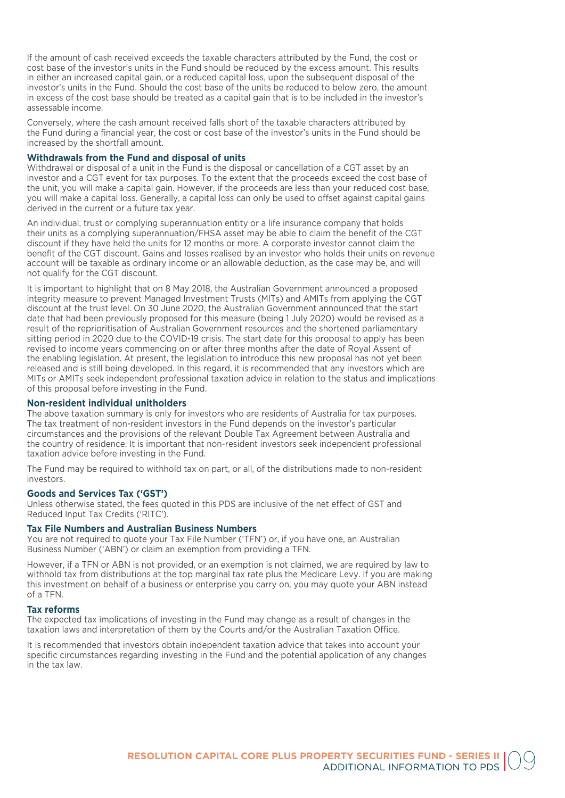If the amount of cash received exceeds the taxable characters attributed by the Fund, the cost or cost base of the investor's units in the Fund should be reduced by the excess amount. This results in either an increased capital gain, or a reduced capital loss, upon the subsequent disposal of the investor's units in the Fund. Should the cost base of the units be reduced to below zero, the amount in excess of the cost base should be treated as a capital gain that is to be included in the investor's assessable income.

Conversely, where the cash amount received falls short of the taxable characters attributed by the Fund during a financial year, the cost or cost base of the investor's units in the Fund should be increased by the shortfall amount.

#### **Withdrawals from the Fund and disposal of units**

Withdrawal or disposal of a unit in the Fund is the disposal or cancellation of a CGT asset by an investor and a CGT event for tax purposes. To the extent that the proceeds exceed the cost base of the unit, you will make a capital gain. However, if the proceeds are less than your reduced cost base, you will make a capital loss. Generally, a capital loss can only be used to offset against capital gains derived in the current or a future tax year.

An individual, trust or complying superannuation entity or a life insurance company that holds their units as a complying superannuation/FHSA asset may be able to claim the benefit of the CGT discount if they have held the units for 12 months or more. A corporate investor cannot claim the benefit of the CGT discount. Gains and losses realised by an investor who holds their units on revenue account will be taxable as ordinary income or an allowable deduction, as the case may be, and will not qualify for the CGT discount.

It is important to highlight that on 8 May 2018, the Australian Government announced a proposed integrity measure to prevent Managed Investment Trusts (MITs) and AMITs from applying the CGT discount at the trust level. On 30 June 2020, the Australian Government announced that the start date that had been previously proposed for this measure (being 1 July 2020) would be revised as a result of the reprioritisation of Australian Government resources and the shortened parliamentary sitting period in 2020 due to the COVID-19 crisis. The start date for this proposal to apply has been revised to income years commencing on or after three months after the date of Royal Assent of the enabling legislation. At present, the legislation to introduce this new proposal has not yet been released and is still being developed. In this regard, it is recommended that any investors which are MITs or AMITs seek independent professional taxation advice in relation to the status and implications of this proposal before investing in the Fund.

#### **Non-resident individual unitholders**

The above taxation summary is only for investors who are residents of Australia for tax purposes. The tax treatment of non-resident investors in the Fund depends on the investor's particular circumstances and the provisions of the relevant Double Tax Agreement between Australia and the country of residence. It is important that non-resident investors seek independent professional taxation advice before investing in the Fund.

The Fund may be required to withhold tax on part, or all, of the distributions made to non-resident investors.

#### **Goods and Services Tax ('GST')**

Unless otherwise stated, the fees quoted in this PDS are inclusive of the net effect of GST and Reduced Input Tax Credits ('RITC').

#### **Tax File Numbers and Australian Business Numbers**

You are not required to quote your Tax File Number ('TFN') or, if you have one, an Australian Business Number ('ABN') or claim an exemption from providing a TFN.

However, if a TFN or ABN is not provided, or an exemption is not claimed, we are required by law to withhold tax from distributions at the top marginal tax rate plus the Medicare Levy. If you are making this investment on behalf of a business or enterprise you carry on, you may quote your ABN instead of a TFN.

#### **Tax reforms**

The expected tax implications of investing in the Fund may change as a result of changes in the taxation laws and interpretation of them by the Courts and/or the Australian Taxation Office.

It is recommended that investors obtain independent taxation advice that takes into account your specific circumstances regarding investing in the Fund and the potential application of any changes in the tax law.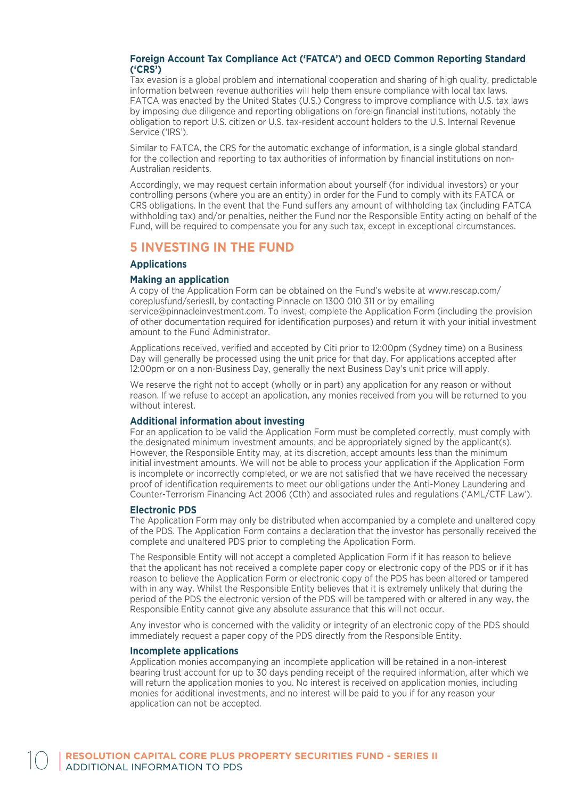#### **Foreign Account Tax Compliance Act ('FATCA') and OECD Common Reporting Standard ('CRS')**

Tax evasion is a global problem and international cooperation and sharing of high quality, predictable information between revenue authorities will help them ensure compliance with local tax laws. FATCA was enacted by the United States (U.S.) Congress to improve compliance with U.S. tax laws by imposing due diligence and reporting obligations on foreign financial institutions, notably the obligation to report U.S. citizen or U.S. tax-resident account holders to the U.S. Internal Revenue Service ('IRS').

Similar to FATCA, the CRS for the automatic exchange of information, is a single global standard for the collection and reporting to tax authorities of information by financial institutions on non-Australian residents.

Accordingly, we may request certain information about yourself (for individual investors) or your controlling persons (where you are an entity) in order for the Fund to comply with its FATCA or CRS obligations. In the event that the Fund suffers any amount of withholding tax (including FATCA withholding tax) and/or penalties, neither the Fund nor the Responsible Entity acting on behalf of the Fund, will be required to compensate you for any such tax, except in exceptional circumstances.

## **5 INVESTING IN THE FUND**

#### **Applications**

#### **Making an application**

A copy of the Application Form can be obtained on the Fund's website at www.rescap.com/ coreplusfund/seriesII, by contacting Pinnacle on 1300 010 311 or by emailing service@pinnacleinvestment.com. To invest, complete the Application Form (including the provision of other documentation required for identification purposes) and return it with your initial investment amount to the Fund Administrator.

Applications received, verified and accepted by Citi prior to 12:00pm (Sydney time) on a Business Day will generally be processed using the unit price for that day. For applications accepted after 12:00pm or on a non-Business Day, generally the next Business Day's unit price will apply.

We reserve the right not to accept (wholly or in part) any application for any reason or without reason. If we refuse to accept an application, any monies received from you will be returned to you without interest.

#### **Additional information about investing**

For an application to be valid the Application Form must be completed correctly, must comply with the designated minimum investment amounts, and be appropriately signed by the applicant(s). However, the Responsible Entity may, at its discretion, accept amounts less than the minimum initial investment amounts. We will not be able to process your application if the Application Form is incomplete or incorrectly completed, or we are not satisfied that we have received the necessary proof of identification requirements to meet our obligations under the Anti-Money Laundering and Counter-Terrorism Financing Act 2006 (Cth) and associated rules and regulations ('AML/CTF Law').

#### **Electronic PDS**

The Application Form may only be distributed when accompanied by a complete and unaltered copy of the PDS. The Application Form contains a declaration that the investor has personally received the complete and unaltered PDS prior to completing the Application Form.

The Responsible Entity will not accept a completed Application Form if it has reason to believe that the applicant has not received a complete paper copy or electronic copy of the PDS or if it has reason to believe the Application Form or electronic copy of the PDS has been altered or tampered with in any way. Whilst the Responsible Entity believes that it is extremely unlikely that during the period of the PDS the electronic version of the PDS will be tampered with or altered in any way, the Responsible Entity cannot give any absolute assurance that this will not occur.

Any investor who is concerned with the validity or integrity of an electronic copy of the PDS should immediately request a paper copy of the PDS directly from the Responsible Entity.

#### **Incomplete applications**

Application monies accompanying an incomplete application will be retained in a non-interest bearing trust account for up to 30 days pending receipt of the required information, after which we will return the application monies to you. No interest is received on application monies, including monies for additional investments, and no interest will be paid to you if for any reason your application can not be accepted.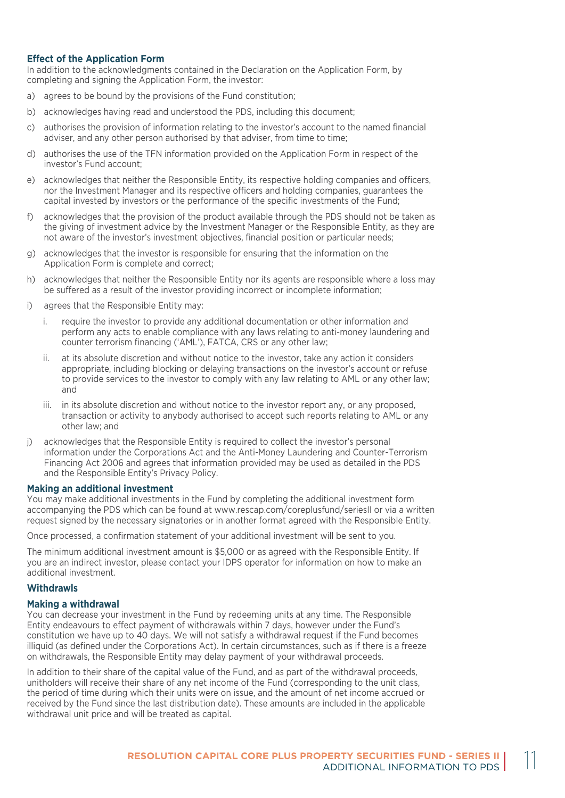#### **Effect of the Application Form**

In addition to the acknowledgments contained in the Declaration on the Application Form, by completing and signing the Application Form, the investor:

- a) agrees to be bound by the provisions of the Fund constitution;
- b) acknowledges having read and understood the PDS, including this document;
- c) authorises the provision of information relating to the investor's account to the named financial adviser, and any other person authorised by that adviser, from time to time;
- d) authorises the use of the TFN information provided on the Application Form in respect of the investor's Fund account;
- e) acknowledges that neither the Responsible Entity, its respective holding companies and officers, nor the Investment Manager and its respective officers and holding companies, guarantees the capital invested by investors or the performance of the specific investments of the Fund;
- f) acknowledges that the provision of the product available through the PDS should not be taken as the giving of investment advice by the Investment Manager or the Responsible Entity, as they are not aware of the investor's investment objectives, financial position or particular needs;
- g) acknowledges that the investor is responsible for ensuring that the information on the Application Form is complete and correct;
- h) acknowledges that neither the Responsible Entity nor its agents are responsible where a loss may be suffered as a result of the investor providing incorrect or incomplete information;
- i) agrees that the Responsible Entity may:
	- i. require the investor to provide any additional documentation or other information and perform any acts to enable compliance with any laws relating to anti-money laundering and counter terrorism financing ('AML'), FATCA, CRS or any other law;
	- ii. at its absolute discretion and without notice to the investor, take any action it considers appropriate, including blocking or delaying transactions on the investor's account or refuse to provide services to the investor to comply with any law relating to AML or any other law; and
	- iii. in its absolute discretion and without notice to the investor report any, or any proposed, transaction or activity to anybody authorised to accept such reports relating to AML or any other law; and
- j) acknowledges that the Responsible Entity is required to collect the investor's personal information under the Corporations Act and the Anti-Money Laundering and Counter-Terrorism Financing Act 2006 and agrees that information provided may be used as detailed in the PDS and the Responsible Entity's Privacy Policy.

#### **Making an additional investment**

You may make additional investments in the Fund by completing the additional investment form accompanying the PDS which can be found at www.rescap.com/coreplusfund/seriesII or via a written request signed by the necessary signatories or in another format agreed with the Responsible Entity.

Once processed, a confirmation statement of your additional investment will be sent to you.

The minimum additional investment amount is \$5,000 or as agreed with the Responsible Entity. If you are an indirect investor, please contact your IDPS operator for information on how to make an additional investment.

#### **Withdrawls**

#### **Making a withdrawal**

You can decrease your investment in the Fund by redeeming units at any time. The Responsible Entity endeavours to effect payment of withdrawals within 7 days, however under the Fund's constitution we have up to 40 days. We will not satisfy a withdrawal request if the Fund becomes illiquid (as defined under the Corporations Act). In certain circumstances, such as if there is a freeze on withdrawals, the Responsible Entity may delay payment of your withdrawal proceeds.

In addition to their share of the capital value of the Fund, and as part of the withdrawal proceeds, unitholders will receive their share of any net income of the Fund (corresponding to the unit class, the period of time during which their units were on issue, and the amount of net income accrued or received by the Fund since the last distribution date). These amounts are included in the applicable withdrawal unit price and will be treated as capital.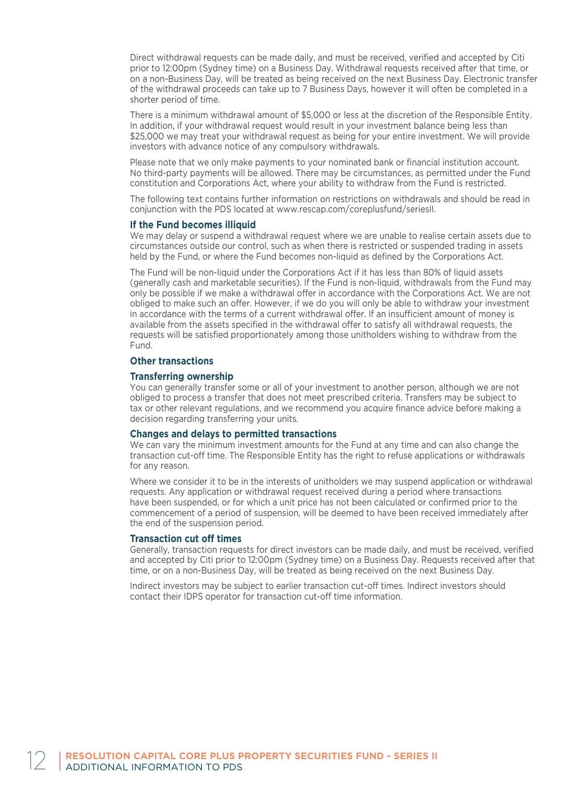Direct withdrawal requests can be made daily, and must be received, verified and accepted by Citi prior to 12:00pm (Sydney time) on a Business Day. Withdrawal requests received after that time, or on a non-Business Day, will be treated as being received on the next Business Day. Electronic transfer of the withdrawal proceeds can take up to 7 Business Days, however it will often be completed in a shorter period of time.

There is a minimum withdrawal amount of \$5,000 or less at the discretion of the Responsible Entity. In addition, if your withdrawal request would result in your investment balance being less than \$25,000 we may treat your withdrawal request as being for your entire investment. We will provide investors with advance notice of any compulsory withdrawals.

Please note that we only make payments to your nominated bank or financial institution account. No third-party payments will be allowed. There may be circumstances, as permitted under the Fund constitution and Corporations Act, where your ability to withdraw from the Fund is restricted.

The following text contains further information on restrictions on withdrawals and should be read in conjunction with the PDS located at www.rescap.com/coreplusfund/seriesII.

#### **If the Fund becomes illiquid**

We may delay or suspend a withdrawal request where we are unable to realise certain assets due to circumstances outside our control, such as when there is restricted or suspended trading in assets held by the Fund, or where the Fund becomes non-liquid as defined by the Corporations Act.

The Fund will be non-liquid under the Corporations Act if it has less than 80% of liquid assets (generally cash and marketable securities). If the Fund is non-liquid, withdrawals from the Fund may only be possible if we make a withdrawal offer in accordance with the Corporations Act. We are not obliged to make such an offer. However, if we do you will only be able to withdraw your investment in accordance with the terms of a current withdrawal offer. If an insufficient amount of money is available from the assets specified in the withdrawal offer to satisfy all withdrawal requests, the requests will be satisfied proportionately among those unitholders wishing to withdraw from the Fund.

#### **Other transactions**

#### **Transferring ownership**

You can generally transfer some or all of your investment to another person, although we are not obliged to process a transfer that does not meet prescribed criteria. Transfers may be subject to tax or other relevant regulations, and we recommend you acquire finance advice before making a decision regarding transferring your units.

#### **Changes and delays to permitted transactions**

We can vary the minimum investment amounts for the Fund at any time and can also change the transaction cut-off time. The Responsible Entity has the right to refuse applications or withdrawals for any reason.

Where we consider it to be in the interests of unitholders we may suspend application or withdrawal requests. Any application or withdrawal request received during a period where transactions have been suspended, or for which a unit price has not been calculated or confirmed prior to the commencement of a period of suspension, will be deemed to have been received immediately after the end of the suspension period.

#### **Transaction cut off times**

Generally, transaction requests for direct investors can be made daily, and must be received, verified and accepted by Citi prior to 12:00pm (Sydney time) on a Business Day. Requests received after that time, or on a non-Business Day, will be treated as being received on the next Business Day.

Indirect investors may be subject to earlier transaction cut-off times. Indirect investors should contact their IDPS operator for transaction cut-off time information.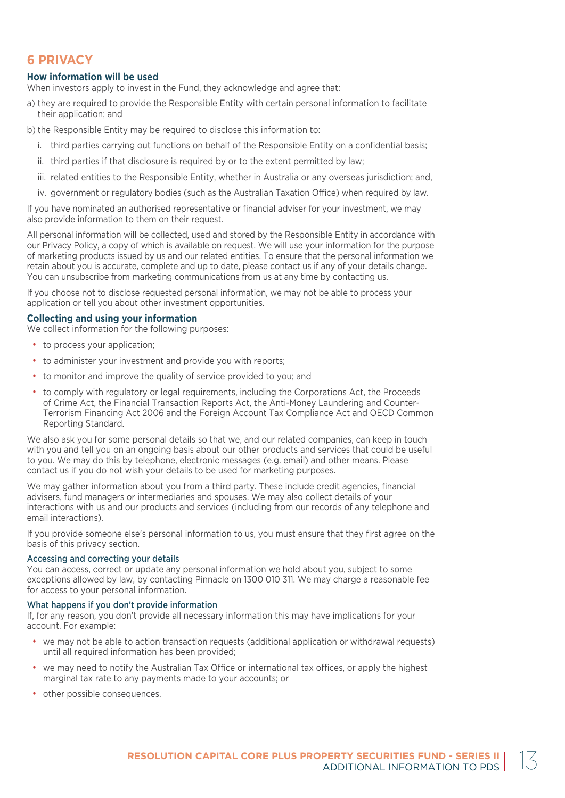## **6 PRIVACY**

#### **How information will be used**

When investors apply to invest in the Fund, they acknowledge and agree that:

- a) they are required to provide the Responsible Entity with certain personal information to facilitate their application; and
- b) the Responsible Entity may be required to disclose this information to:
	- i. third parties carrying out functions on behalf of the Responsible Entity on a confidential basis;
	- ii. third parties if that disclosure is required by or to the extent permitted by law;
	- iii. related entities to the Responsible Entity, whether in Australia or any overseas jurisdiction; and,
	- iv. government or regulatory bodies (such as the Australian Taxation Office) when required by law.

If you have nominated an authorised representative or financial adviser for your investment, we may also provide information to them on their request.

All personal information will be collected, used and stored by the Responsible Entity in accordance with our Privacy Policy, a copy of which is available on request. We will use your information for the purpose of marketing products issued by us and our related entities. To ensure that the personal information we retain about you is accurate, complete and up to date, please contact us if any of your details change. You can unsubscribe from marketing communications from us at any time by contacting us.

If you choose not to disclose requested personal information, we may not be able to process your application or tell you about other investment opportunities.

#### **Collecting and using your information**

We collect information for the following purposes:

- to process your application;
- to administer your investment and provide you with reports;
- to monitor and improve the quality of service provided to you; and
- to comply with regulatory or legal requirements, including the Corporations Act, the Proceeds of Crime Act, the Financial Transaction Reports Act, the Anti-Money Laundering and Counter-Terrorism Financing Act 2006 and the Foreign Account Tax Compliance Act and OECD Common Reporting Standard.

We also ask you for some personal details so that we, and our related companies, can keep in touch with you and tell you on an ongoing basis about our other products and services that could be useful to you. We may do this by telephone, electronic messages (e.g. email) and other means. Please contact us if you do not wish your details to be used for marketing purposes.

We may gather information about you from a third party. These include credit agencies, financial advisers, fund managers or intermediaries and spouses. We may also collect details of your interactions with us and our products and services (including from our records of any telephone and email interactions).

If you provide someone else's personal information to us, you must ensure that they first agree on the basis of this privacy section.

#### Accessing and correcting your details

You can access, correct or update any personal information we hold about you, subject to some exceptions allowed by law, by contacting Pinnacle on 1300 010 311. We may charge a reasonable fee for access to your personal information.

#### What happens if you don't provide information

If, for any reason, you don't provide all necessary information this may have implications for your account. For example:

- we may not be able to action transaction requests (additional application or withdrawal requests) until all required information has been provided;
- we may need to notify the Australian Tax Office or international tax offices, or apply the highest marginal tax rate to any payments made to your accounts; or
- other possible consequences.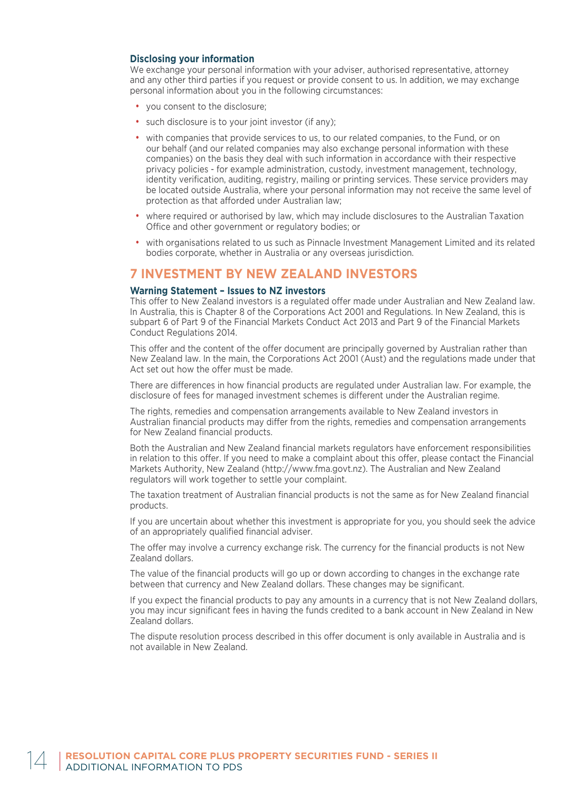#### **Disclosing your information**

We exchange your personal information with your adviser, authorised representative, attorney and any other third parties if you request or provide consent to us. In addition, we may exchange personal information about you in the following circumstances:

- you consent to the disclosure;
- such disclosure is to your joint investor (if any):
- with companies that provide services to us, to our related companies, to the Fund, or on our behalf (and our related companies may also exchange personal information with these companies) on the basis they deal with such information in accordance with their respective privacy policies - for example administration, custody, investment management, technology, identity verification, auditing, registry, mailing or printing services. These service providers may be located outside Australia, where your personal information may not receive the same level of protection as that afforded under Australian law;
- where required or authorised by law, which may include disclosures to the Australian Taxation Office and other government or regulatory bodies; or
- with organisations related to us such as Pinnacle Investment Management Limited and its related bodies corporate, whether in Australia or any overseas jurisdiction.

### **7 INVESTMENT BY NEW ZEALAND INVESTORS**

#### **Warning Statement – Issues to NZ investors**

This offer to New Zealand investors is a regulated offer made under Australian and New Zealand law. In Australia, this is Chapter 8 of the Corporations Act 2001 and Regulations. In New Zealand, this is subpart 6 of Part 9 of the Financial Markets Conduct Act 2013 and Part 9 of the Financial Markets Conduct Regulations 2014.

This offer and the content of the offer document are principally governed by Australian rather than New Zealand law. In the main, the Corporations Act 2001 (Aust) and the regulations made under that Act set out how the offer must be made.

There are differences in how financial products are regulated under Australian law. For example, the disclosure of fees for managed investment schemes is different under the Australian regime.

The rights, remedies and compensation arrangements available to New Zealand investors in Australian financial products may differ from the rights, remedies and compensation arrangements for New Zealand financial products.

Both the Australian and New Zealand financial markets regulators have enforcement responsibilities in relation to this offer. If you need to make a complaint about this offer, please contact the Financial Markets Authority, New Zealand (http://www.fma.govt.nz). The Australian and New Zealand regulators will work together to settle your complaint.

The taxation treatment of Australian financial products is not the same as for New Zealand financial products.

If you are uncertain about whether this investment is appropriate for you, you should seek the advice of an appropriately qualified financial adviser.

The offer may involve a currency exchange risk. The currency for the financial products is not New Zealand dollars.

The value of the financial products will go up or down according to changes in the exchange rate between that currency and New Zealand dollars. These changes may be significant.

If you expect the financial products to pay any amounts in a currency that is not New Zealand dollars, you may incur significant fees in having the funds credited to a bank account in New Zealand in New Zealand dollars.

The dispute resolution process described in this offer document is only available in Australia and is not available in New Zealand.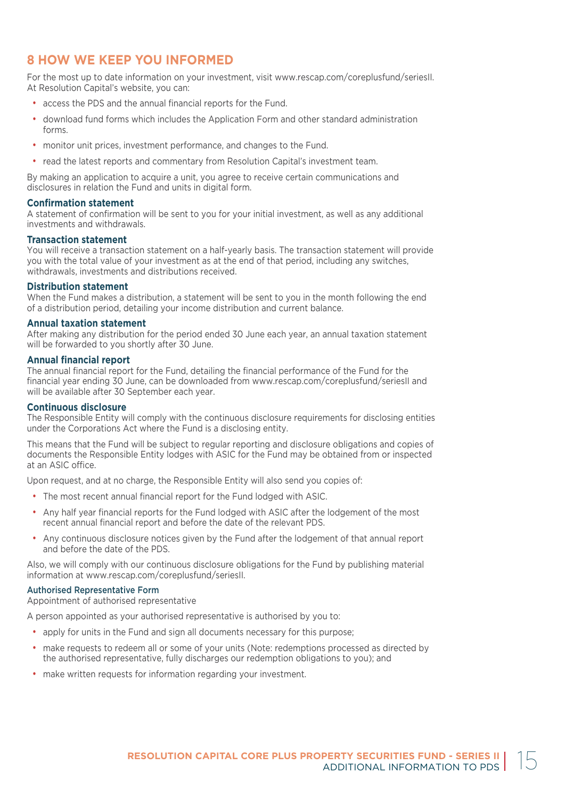## **8 HOW WE KEEP YOU INFORMED**

For the most up to date information on your investment, visit www.rescap.com/coreplusfund/seriesII. At Resolution Capital's website, you can:

- access the PDS and the annual financial reports for the Fund.
- download fund forms which includes the Application Form and other standard administration forms.
- monitor unit prices, investment performance, and changes to the Fund.
- read the latest reports and commentary from Resolution Capital's investment team.

By making an application to acquire a unit, you agree to receive certain communications and disclosures in relation the Fund and units in digital form.

#### **Confirmation statement**

A statement of confirmation will be sent to you for your initial investment, as well as any additional investments and withdrawals.

#### **Transaction statement**

You will receive a transaction statement on a half-yearly basis. The transaction statement will provide you with the total value of your investment as at the end of that period, including any switches, withdrawals, investments and distributions received.

#### **Distribution statement**

When the Fund makes a distribution, a statement will be sent to you in the month following the end of a distribution period, detailing your income distribution and current balance.

#### **Annual taxation statement**

After making any distribution for the period ended 30 June each year, an annual taxation statement will be forwarded to you shortly after 30 June.

#### **Annual financial report**

The annual financial report for the Fund, detailing the financial performance of the Fund for the financial year ending 30 June, can be downloaded from www.rescap.com/coreplusfund/seriesII and will be available after 30 September each year.

#### **Continuous disclosure**

The Responsible Entity will comply with the continuous disclosure requirements for disclosing entities under the Corporations Act where the Fund is a disclosing entity.

This means that the Fund will be subject to regular reporting and disclosure obligations and copies of documents the Responsible Entity lodges with ASIC for the Fund may be obtained from or inspected at an ASIC office.

Upon request, and at no charge, the Responsible Entity will also send you copies of:

- The most recent annual financial report for the Fund lodged with ASIC.
- Any half year financial reports for the Fund lodged with ASIC after the lodgement of the most recent annual financial report and before the date of the relevant PDS.
- Any continuous disclosure notices given by the Fund after the lodgement of that annual report and before the date of the PDS.

Also, we will comply with our continuous disclosure obligations for the Fund by publishing material information at www.rescap.com/coreplusfund/seriesII.

#### Authorised Representative Form

Appointment of authorised representative

A person appointed as your authorised representative is authorised by you to:

- apply for units in the Fund and sign all documents necessary for this purpose;
- make requests to redeem all or some of your units (Note: redemptions processed as directed by the authorised representative, fully discharges our redemption obligations to you); and
- make written requests for information regarding your investment.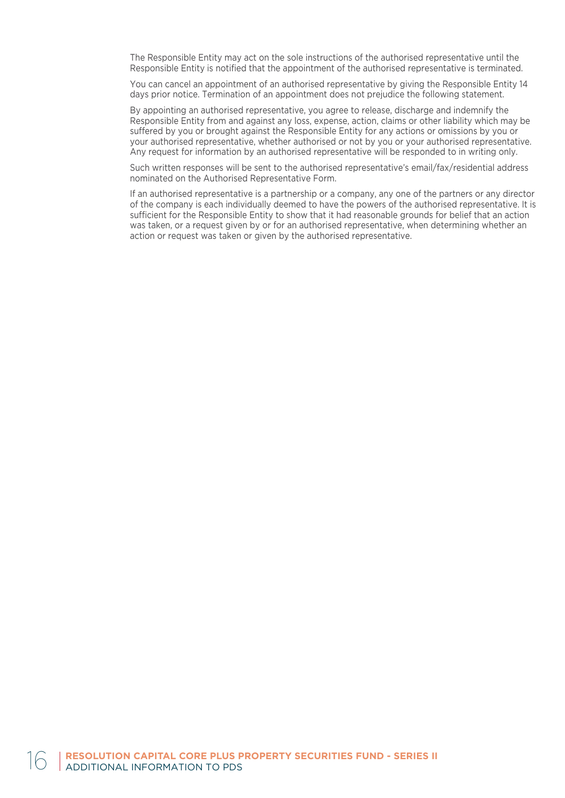The Responsible Entity may act on the sole instructions of the authorised representative until the Responsible Entity is notified that the appointment of the authorised representative is terminated.

You can cancel an appointment of an authorised representative by giving the Responsible Entity 14 days prior notice. Termination of an appointment does not prejudice the following statement.

By appointing an authorised representative, you agree to release, discharge and indemnify the Responsible Entity from and against any loss, expense, action, claims or other liability which may be suffered by you or brought against the Responsible Entity for any actions or omissions by you or your authorised representative, whether authorised or not by you or your authorised representative. Any request for information by an authorised representative will be responded to in writing only.

Such written responses will be sent to the authorised representative's email/fax/residential address nominated on the Authorised Representative Form.

If an authorised representative is a partnership or a company, any one of the partners or any director of the company is each individually deemed to have the powers of the authorised representative. It is sufficient for the Responsible Entity to show that it had reasonable grounds for belief that an action was taken, or a request given by or for an authorised representative, when determining whether an action or request was taken or given by the authorised representative.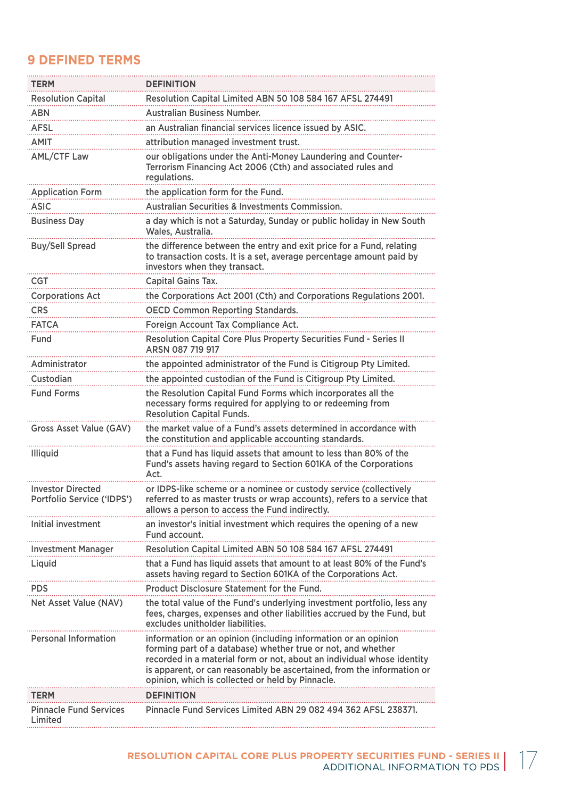## **9 DEFINED TERMS**

| <b>TERM</b>                                            | <b>DEFINITION</b>                                                                                                                                                                                                                                                                                                                      |
|--------------------------------------------------------|----------------------------------------------------------------------------------------------------------------------------------------------------------------------------------------------------------------------------------------------------------------------------------------------------------------------------------------|
| <b>Resolution Capital</b>                              | Resolution Capital Limited ABN 50 108 584 167 AFSL 274491                                                                                                                                                                                                                                                                              |
| <b>ABN</b>                                             | <b>Australian Business Number.</b>                                                                                                                                                                                                                                                                                                     |
| AFSL                                                   | an Australian financial services licence issued by ASIC.                                                                                                                                                                                                                                                                               |
| <b>AMIT</b>                                            | attribution managed investment trust.                                                                                                                                                                                                                                                                                                  |
| <b>AML/CTF Law</b>                                     | our obligations under the Anti-Money Laundering and Counter-<br>Terrorism Financing Act 2006 (Cth) and associated rules and<br>regulations.                                                                                                                                                                                            |
| <b>Application Form</b>                                | the application form for the Fund.                                                                                                                                                                                                                                                                                                     |
| <b>ASIC</b>                                            | Australian Securities & Investments Commission.                                                                                                                                                                                                                                                                                        |
| <b>Business Day</b>                                    | a day which is not a Saturday, Sunday or public holiday in New South<br>Wales, Australia.                                                                                                                                                                                                                                              |
| <b>Buy/Sell Spread</b>                                 | the difference between the entry and exit price for a Fund, relating<br>to transaction costs. It is a set, average percentage amount paid by<br>investors when they transact.                                                                                                                                                          |
| CGT                                                    | Capital Gains Tax.                                                                                                                                                                                                                                                                                                                     |
| <b>Corporations Act</b>                                | the Corporations Act 2001 (Cth) and Corporations Regulations 2001.                                                                                                                                                                                                                                                                     |
| <b>CRS</b>                                             | <b>OECD Common Reporting Standards.</b>                                                                                                                                                                                                                                                                                                |
| <b>FATCA</b>                                           | Foreign Account Tax Compliance Act.                                                                                                                                                                                                                                                                                                    |
| Fund                                                   | Resolution Capital Core Plus Property Securities Fund - Series II<br>ARSN 087 719 917                                                                                                                                                                                                                                                  |
| Administrator                                          | the appointed administrator of the Fund is Citigroup Pty Limited.                                                                                                                                                                                                                                                                      |
| Custodian                                              | the appointed custodian of the Fund is Citigroup Pty Limited.                                                                                                                                                                                                                                                                          |
| <b>Fund Forms</b>                                      | the Resolution Capital Fund Forms which incorporates all the<br>necessary forms required for applying to or redeeming from<br><b>Resolution Capital Funds.</b>                                                                                                                                                                         |
| <b>Gross Asset Value (GAV)</b>                         | the market value of a Fund's assets determined in accordance with<br>the constitution and applicable accounting standards.                                                                                                                                                                                                             |
| Illiquid                                               | that a Fund has liquid assets that amount to less than 80% of the<br>Fund's assets having regard to Section 601KA of the Corporations<br>Act.                                                                                                                                                                                          |
| <b>Investor Directed</b><br>Portfolio Service ('IDPS') | or IDPS-like scheme or a nominee or custody service (collectively<br>referred to as master trusts or wrap accounts), refers to a service that<br>allows a person to access the Fund indirectly.                                                                                                                                        |
| Initial investment                                     | an investor's initial investment which requires the opening of a new<br>Fund account.                                                                                                                                                                                                                                                  |
| <b>Investment Manager</b>                              | Resolution Capital Limited ABN 50 108 584 167 AFSL 274491                                                                                                                                                                                                                                                                              |
| Liquid                                                 | that a Fund has liquid assets that amount to at least 80% of the Fund's<br>assets having regard to Section 601KA of the Corporations Act.                                                                                                                                                                                              |
| <b>PDS</b>                                             | <b>Product Disclosure Statement for the Fund.</b>                                                                                                                                                                                                                                                                                      |
| Net Asset Value (NAV)                                  | the total value of the Fund's underlying investment portfolio, less any<br>fees, charges, expenses and other liabilities accrued by the Fund, but<br>excludes unitholder liabilities.                                                                                                                                                  |
| <b>Personal Information</b>                            | information or an opinion (including information or an opinion<br>forming part of a database) whether true or not, and whether<br>recorded in a material form or not, about an individual whose identity<br>is apparent, or can reasonably be ascertained, from the information or<br>opinion, which is collected or held by Pinnacle. |
| <b>TERM</b>                                            | <b>DEFINITION</b>                                                                                                                                                                                                                                                                                                                      |
| <b>Pinnacle Fund Services</b><br>Limited               | Pinnacle Fund Services Limited ABN 29 082 494 362 AFSL 238371.                                                                                                                                                                                                                                                                         |